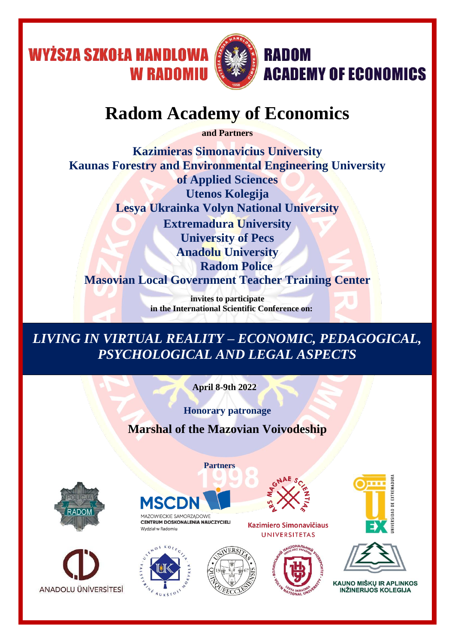

# **Radom Academy of Economics**

**and Partners**

**Kazimieras Simonavicius University Kaunas Forestry and Environmental Engineering University of Applied Sciences Utenos Kolegija Lesya Ukrainka Volyn National University Extremadura University University of Pecs Anadolu University Radom Police Masovian Local Government Teacher Training Center**

> **invites to participate in the International Scientific Conference on:**

*LIVING IN VIRTUAL REALITY – ECONOMIC, PEDAGOGICAL, PSYCHOLOGICAL AND LEGAL ASPECTS*

 **April 8-9th 2022**

**Honorary patronage Marshal of the Mazovian Voivodeship**

 **Partners**







CENTRUM DOSKONALENIA NAUCZYCIELI Wydział w Radomiu













**KAUNO MIŠKU IR APLINKOS INŽINERIJOS KOLEGIJA**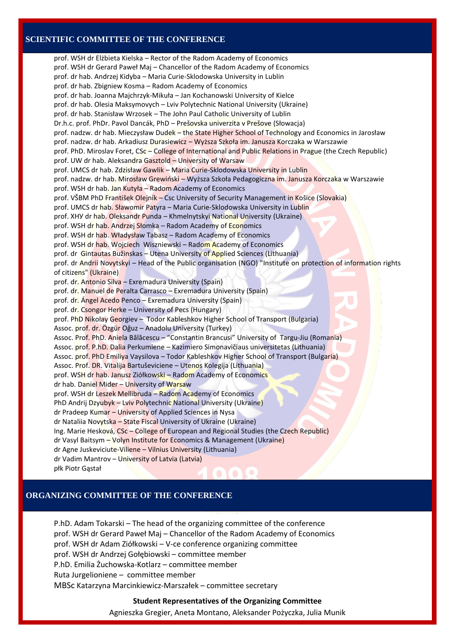#### **SCIENTIFIC COMMITTEE OF THE CONFERENCE**

prof. WSH dr Elżbieta Kielska – Rector of the Radom Academy of Economics prof. WSH dr Gerard Paweł Maj – Chancellor of the Radom Academy of Economics prof. dr hab. Andrzej Kidyba – Maria Curie-Sklodowska University in Lublin prof. dr hab. Zbigniew Kosma – Radom Academy of Economics prof. dr hab. Joanna Majchrzyk-Mikuła – Jan Kochanowski University of Kielce prof. dr hab. Olesia Maksymovych – Lviv Polytechnic National University (Ukraine) prof. dr hab. Stanisław Wrzosek – The John Paul Catholic University of Lublin Dr.h.c. prof. PhDr. Pavol Dancák, PhD – Prešovska univerzita v Prešove (Słowacja) prof. nadzw. dr hab. Mieczysław Dudek – the State Higher School of Technology and Economics in Jarosław prof. nadzw. dr hab. Arkadiusz Durasiewicz – Wyższa Szkoła im. Janusza Korczaka w Warszawie prof. PhD. Miroslav Foret, CSc – College of International and Public Relations in Prague (the Czech Republic) prof. UW dr hab. Aleksandra Gasztold – University of Warsaw prof. UMCS dr hab. Zdzisław Gawlik – Maria Curie-Sklodowska University in Lublin prof. nadzw. dr hab. Mirosław Grewiński – Wyższa Szkoła Pedagogiczna im. Janusza Korczaka w Warszawie prof. WSH dr hab. Jan Kutyła – Radom Academy of Economics prof. VŠBM PhD František Olejník – Csc University of Security Management in Košice (Slovakia) prof. UMCS dr hab. Sławomir Patyra – Maria Curie-Sklodowska University in Lublin prof. ХНУ dr hab. Olеksandr Punda – Khmelnytskyi National University (Ukraine) prof. WSH dr hab. Andrzej Słomka – Radom Academy of Economics prof. WSH dr hab. Władysław Tabasz – Radom Academy of Economics prof. WSH dr hab. Wojciech Wiszniewski – Radom Academy of Economics prof. dr Gintautas Bužinskas – Utena University of Applied Sciences (Lithuania) prof. dr Andrii Novytskyi – Head of the Public organisation (NGO) "Institute on protection of information rights of citizens" (Ukraine) prof. dr. Antonio Silva – Exremadura University (Spain) prof. dr. Manuel de Peralta Carrasco – Exremadura University (Spain) prof. dr. Ángel Acedo Penco – Exremadura University (Spain) prof. dr. Csongor Herke – University of Pecs (Hungary) prof. PhD Nikolay Georgiev – Todor Kableshkov Higher School of Transport (Bulgaria) Assoc. prof. dr. Özgür Oğuz – Anadolu University (Turkey) Assoc. Prof. PhD. Aniela Bălăcescu – "Constantin Brancusi" University of Targu-Jiu (Romania) Assoc. prof. P.hD. Dalia Perkumiene – Kazimiero Simonavičiaus universitetas (Lithuania) Assoc. prof. PhD Emiliya Vaysilova - Todor Kableshkov Higher School of Transport (Bulgaria) Assoc. Prof. DR. Vitalija Bartuševiciene – Utenos Kolegija (Lithuania) prof. WSH dr hab. Janusz Ziółkowski – Radom Academy of Economics dr hab. Daniel Mider – University of Warsaw prof. WSH dr Leszek Mellibruda – Radom Academy of Economics PhD Andrij Dzyubyk – Lviv Polytechnic National University (Ukraine) dr Pradeep Kumar – University of Applied Sciences in Nysa dr Nataliia Novytska – State Fiscal University of Ukraine (Ukraine) Ing. Marie Hesková, CSc – College of European and Regional Studies (the Czech Republic) dr Vasyl Baitsym – Volyn Institute for Economics & Management (Ukraine) dr Agne Juskeviciute-Viliene – Vilnius University (Lithuania) dr Vadim Mantrov – University of Latvia (Latvia) płk Piotr Gąstał

#### **ORGANIZING COMMITTEE OF THE CONFERENCE**

P.hD. Adam Tokarski – The head of the organizing committee of the conference prof. WSH dr Gerard Paweł Maj – Chancellor of the Radom Academy of Economics prof. WSH dr Adam Ziółkowski – V-ce conference organizing committee prof. WSH dr Andrzej Gołębiowski – committee member P.hD. Emilia Żuchowska-Kotlarz – committee member Ruta Jurgelioniene – committee member MBSc Katarzyna Marcinkiewicz-Marszałek – committee secretary

#### **Student Representatives of the Organizing Committee**

Agnieszka Gregier, Aneta Montano, Aleksander Pożyczka, Julia Munik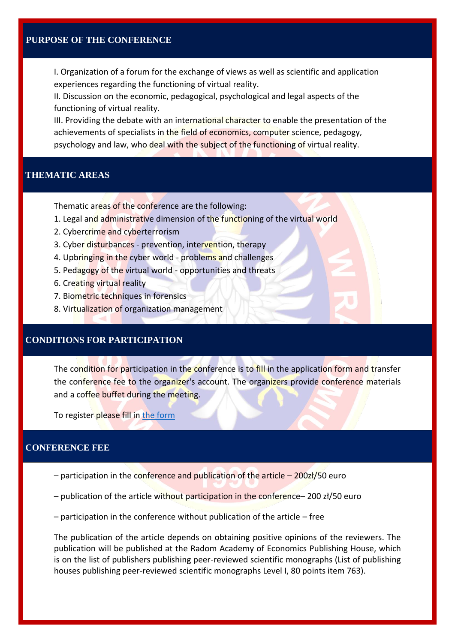I. Organization of a forum for the exchange of views as well as scientific and application experiences regarding the functioning of virtual reality.

II. Discussion on the economic, pedagogical, psychological and legal aspects of the functioning of virtual reality.

III. Providing the debate with an international character to enable the presentation of the achievements of specialists in the field of economics, computer science, pedagogy, psychology and law, who deal with the subject of the functioning of virtual reality.

#### **THEMATIC AREAS**

Thematic areas of the conference are the following:

- 1. Legal and administrative dimension of the functioning of the virtual world
- 2. Cybercrime and cyberterrorism
- 3. Cyber disturbances prevention, intervention, therapy
- 4. Upbringing in the cyber world problems and challenges
- 5. Pedagogy of the virtual world opportunities and threats
- 6. Creating virtual reality
- 7. Biometric techniques in forensics
- 8. Virtualization of organization management

# **CONDITIONS FOR PARTICIPATION**

The condition for participation in the conference is to fill in the application form and transfer the conference fee to the organizer's account. The organizers provide conference materials and a coffee buffet during the meeting.

To register please fill in [the form](https://forms.office.com/Pages/ResponsePage.aspx?id=-EnmZ_q_KkGvgLiKaOC87dFUuq4AJIZIiWFgc3OZM1ZUREoxQk01U0ZPMTBGODFXNEpDQTE3SFg5MS4u)

#### **CONFERENCE FEE**

- participation in the conference and publication of the article 200zł/50 euro
- publication of the article without participation in the conference– 200 zł/50 euro
- participation in the conference without publication of the article free

The publication of the article depends on obtaining positive opinions of the reviewers. The publication will be published at the Radom Academy of Economics Publishing House, which is on the list of publishers publishing peer-reviewed scientific monographs (List of publishing houses publishing peer-reviewed scientific monographs Level I, 80 points item 763).